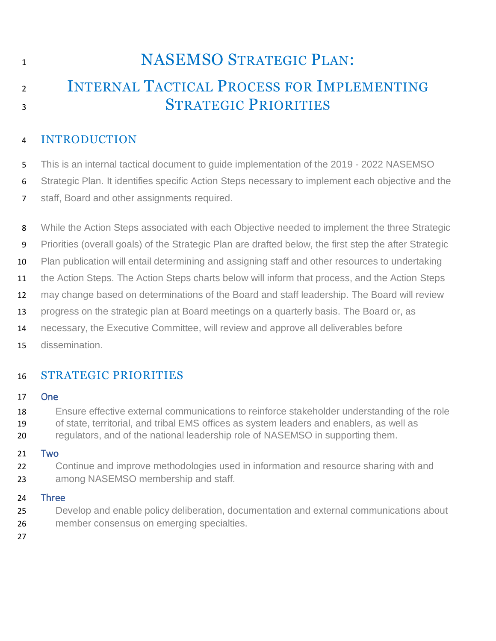# **NASEMSO STRATEGIC PLAN:** 2 INTERNAL TACTICAL PROCESS FOR IMPLEMENTING 3 STRATEGIC PRIORITIES

## INTRODUCTION

This is an internal tactical document to guide implementation of the 2019 - 2022 NASEMSO

Strategic Plan. It identifies specific Action Steps necessary to implement each objective and the

- staff, Board and other assignments required.
- 8 While the Action Steps associated with each Objective needed to implement the three Strategic

Priorities (overall goals) of the Strategic Plan are drafted below, the first step the after Strategic

10 Plan publication will entail determining and assigning staff and other resources to undertaking

the Action Steps. The Action Steps charts below will inform that process, and the Action Steps

may change based on determinations of the Board and staff leadership. The Board will review

progress on the strategic plan at Board meetings on a quarterly basis. The Board or, as

necessary, the Executive Committee, will review and approve all deliverables before

dissemination.

# STRATEGIC PRIORITIES

#### One

Ensure effective external communications to reinforce stakeholder understanding of the role

of state, territorial, and tribal EMS offices as system leaders and enablers, as well as

regulators, and of the national leadership role of NASEMSO in supporting them.

### Two

 Continue and improve methodologies used in information and resource sharing with and among NASEMSO membership and staff.

#### Three

 Develop and enable policy deliberation, documentation and external communications about member consensus on emerging specialties.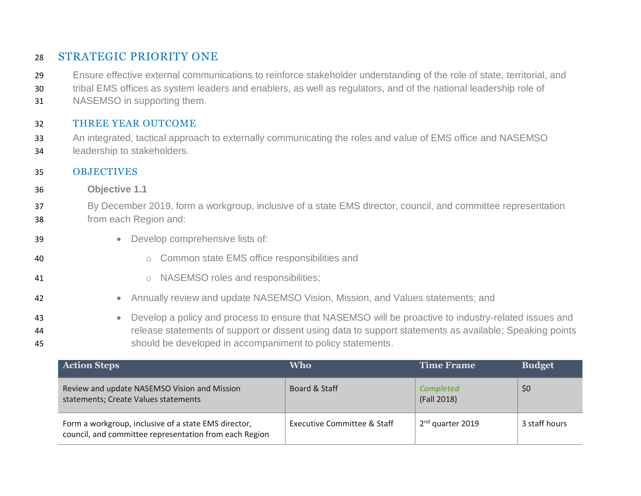## STRATEGIC PRIORITY ONE

- Ensure effective external communications to reinforce stakeholder understanding of the role of state, territorial, and
- tribal EMS offices as system leaders and enablers, as well as regulators, and of the national leadership role of
- NASEMSO in supporting them.

#### THREE YEAR OUTCOME

 An integrated, tactical approach to externally communicating the roles and value of EMS office and NASEMSO leadership to stakeholders.

#### OBJECTIVES

- **Objective 1.1**
- By December 2019, form a workgroup, inclusive of a state EMS director, council, and committee representation from each Region and:
- **Develop comprehensive lists of:**
- o Common state EMS office responsibilities and
- **b** o NASEMSO roles and responsibilities;
- Annually review and update NASEMSO Vision, Mission, and Values statements; and
- Develop a policy and process to ensure that NASEMSO will be proactive to industry-related issues and release statements of support or dissent using data to support statements as available; Speaking points should be developed in accompaniment to policy statements.

| <b>Action Steps</b>                                                                                            | <b>Who</b>                  | <b>Time Frame</b>               | <b>Budget</b> |
|----------------------------------------------------------------------------------------------------------------|-----------------------------|---------------------------------|---------------|
| Review and update NASEMSO Vision and Mission<br>statements; Create Values statements                           | Board & Staff               | <b>Completed</b><br>(Fall 2018) | \$0           |
| Form a workgroup, inclusive of a state EMS director,<br>council, and committee representation from each Region | Executive Committee & Staff | 2 <sup>nd</sup> quarter 2019    | 3 staff hours |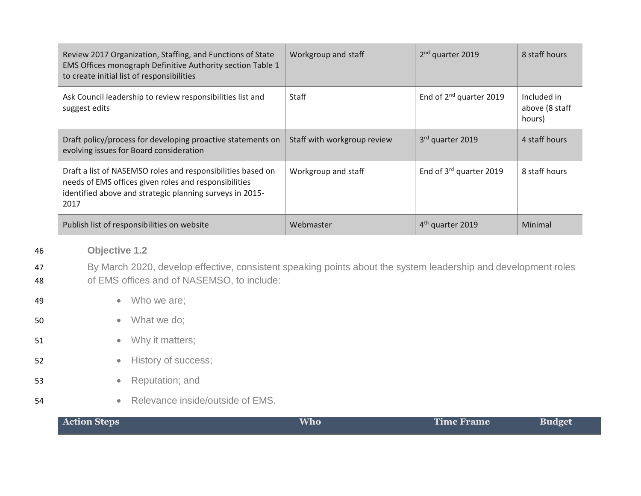|          | Review 2017 Organization, Staffing, and Functions of State<br>EMS Offices monograph Definitive Authority section Table 1<br>to create initial list of responsibilities                   | Workgroup and staff         | 2 <sup>nd</sup> quarter 2019        | 8 staff hours                           |
|----------|------------------------------------------------------------------------------------------------------------------------------------------------------------------------------------------|-----------------------------|-------------------------------------|-----------------------------------------|
|          | Ask Council leadership to review responsibilities list and<br>suggest edits                                                                                                              | Staff                       | End of 2 <sup>nd</sup> quarter 2019 | Included in<br>above (8 staff<br>hours) |
|          | Draft policy/process for developing proactive statements on<br>evolving issues for Board consideration                                                                                   | Staff with workgroup review | 3rd quarter 2019                    | 4 staff hours                           |
|          | Draft a list of NASEMSO roles and responsibilities based on<br>needs of EMS offices given roles and responsibilities<br>identified above and strategic planning surveys in 2015-<br>2017 | Workgroup and staff         | End of 3rd quarter 2019             | 8 staff hours                           |
|          | Publish list of responsibilities on website                                                                                                                                              | Webmaster                   | 4 <sup>th</sup> quarter 2019        | Minimal                                 |
| 46       | <b>Objective 1.2</b>                                                                                                                                                                     |                             |                                     |                                         |
| 47<br>48 | By March 2020, develop effective, consistent speaking points about the system leadership and development roles<br>of EMS offices and of NASEMSO, to include:                             |                             |                                     |                                         |
| 49       | Who we are;<br>$\bullet$                                                                                                                                                                 |                             |                                     |                                         |

- 50 What we do;
- 51 Why it matters;
- 52 **•** History of success;
- 53 **•** Reputation; and
- 54 **•** Relevance inside/outside of EMS.

| <b>Action Steps</b> | <b>Who</b> | Time Frame | <b>Budget</b> |
|---------------------|------------|------------|---------------|
|                     |            |            |               |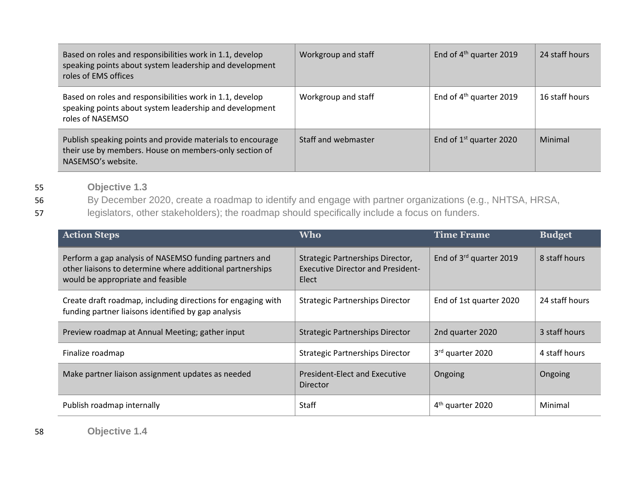| Based on roles and responsibilities work in 1.1, develop<br>speaking points about system leadership and development<br>roles of EMS offices | Workgroup and staff | End of $4th$ quarter 2019    | 24 staff hours |
|---------------------------------------------------------------------------------------------------------------------------------------------|---------------------|------------------------------|----------------|
| Based on roles and responsibilities work in 1.1, develop<br>speaking points about system leadership and development<br>roles of NASEMSO     | Workgroup and staff | End of $4th$ quarter 2019    | 16 staff hours |
| Publish speaking points and provide materials to encourage<br>their use by members. House on members-only section of<br>NASEMSO's website.  | Staff and webmaster | End of $1^{st}$ quarter 2020 | Minimal        |

55 **Objective 1.3**

56 By December 2020, create a roadmap to identify and engage with partner organizations (e.g., NHTSA, HRSA,

57 legislators, other stakeholders); the roadmap should specifically include a focus on funders.

| <b>Action Steps</b>                                                                                                                                      | <b>Who</b>                                                                            | <b>Time Frame</b>            | <b>Budget</b>  |
|----------------------------------------------------------------------------------------------------------------------------------------------------------|---------------------------------------------------------------------------------------|------------------------------|----------------|
| Perform a gap analysis of NASEMSO funding partners and<br>other liaisons to determine where additional partnerships<br>would be appropriate and feasible | Strategic Partnerships Director,<br><b>Executive Director and President-</b><br>Elect | End of 3rd quarter 2019      | 8 staff hours  |
| Create draft roadmap, including directions for engaging with<br>funding partner liaisons identified by gap analysis                                      | <b>Strategic Partnerships Director</b>                                                | End of 1st quarter 2020      | 24 staff hours |
| Preview roadmap at Annual Meeting; gather input                                                                                                          | <b>Strategic Partnerships Director</b>                                                | 2nd quarter 2020             | 3 staff hours  |
| Finalize roadmap                                                                                                                                         | <b>Strategic Partnerships Director</b>                                                | 3rd quarter 2020             | 4 staff hours  |
| Make partner liaison assignment updates as needed                                                                                                        | President-Elect and Executive<br>Director                                             | Ongoing                      | Ongoing        |
| Publish roadmap internally                                                                                                                               | <b>Staff</b>                                                                          | 4 <sup>th</sup> quarter 2020 | Minimal        |

58 **Objective 1.4**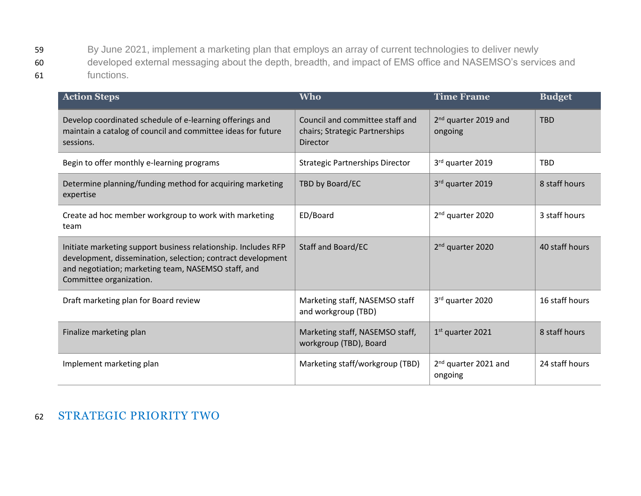59 By June 2021, implement a marketing plan that employs an array of current technologies to deliver newly 60 developed external messaging about the depth, breadth, and impact of EMS office and NASEMSO's services and 61 functions.

| <b>Action Steps</b>                                                                                                                                                                                             | <b>Who</b>                                                                           | <b>Time Frame</b>                           | <b>Budget</b>  |
|-----------------------------------------------------------------------------------------------------------------------------------------------------------------------------------------------------------------|--------------------------------------------------------------------------------------|---------------------------------------------|----------------|
| Develop coordinated schedule of e-learning offerings and<br>maintain a catalog of council and committee ideas for future<br>sessions.                                                                           | Council and committee staff and<br>chairs; Strategic Partnerships<br><b>Director</b> | 2 <sup>nd</sup> quarter 2019 and<br>ongoing | <b>TBD</b>     |
| Begin to offer monthly e-learning programs                                                                                                                                                                      | <b>Strategic Partnerships Director</b>                                               | 3rd quarter 2019                            | <b>TBD</b>     |
| Determine planning/funding method for acquiring marketing<br>expertise                                                                                                                                          | TBD by Board/EC                                                                      | 3rd quarter 2019                            | 8 staff hours  |
| Create ad hoc member workgroup to work with marketing<br>team                                                                                                                                                   | ED/Board                                                                             | 2 <sup>nd</sup> quarter 2020                | 3 staff hours  |
| Initiate marketing support business relationship. Includes RFP<br>development, dissemination, selection; contract development<br>and negotiation; marketing team, NASEMSO staff, and<br>Committee organization. | Staff and Board/EC                                                                   | 2 <sup>nd</sup> quarter 2020                | 40 staff hours |
| Draft marketing plan for Board review                                                                                                                                                                           | Marketing staff, NASEMSO staff<br>and workgroup (TBD)                                | 3rd quarter 2020                            | 16 staff hours |
| Finalize marketing plan                                                                                                                                                                                         | Marketing staff, NASEMSO staff,<br>workgroup (TBD), Board                            | 1st quarter 2021                            | 8 staff hours  |
| Implement marketing plan                                                                                                                                                                                        | Marketing staff/workgroup (TBD)                                                      | 2 <sup>nd</sup> quarter 2021 and<br>ongoing | 24 staff hours |

## 62 STRATEGIC PRIORITY TWO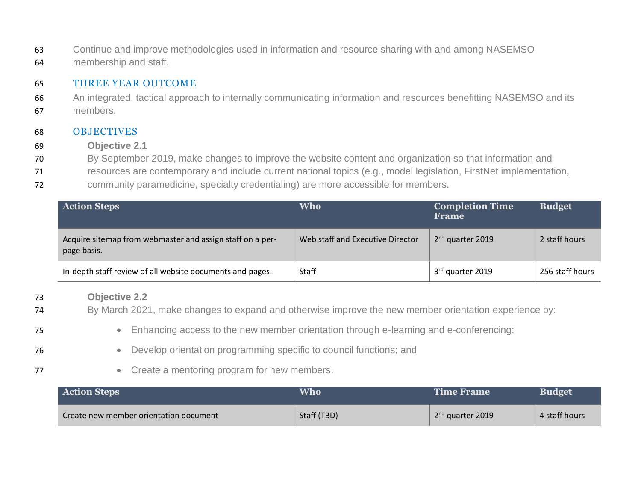63 Continue and improve methodologies used in information and resource sharing with and among NASEMSO 64 membership and staff.

#### 65 THREE YEAR OUTCOME

66 An integrated, tactical approach to internally communicating information and resources benefitting NASEMSO and its 67 members.

#### 68 OBJECTIVES

- 69 **Objective 2.1**
- 70 By September 2019, make changes to improve the website content and organization so that information and
- 71 resources are contemporary and include current national topics (e.g., model legislation, FirstNet implementation,
- 72 community paramedicine, specialty credentialing) are more accessible for members.

| <b>Action Steps</b>                                                      | <b>Who</b>                       | <b>Completion Time</b><br>Frame | <b>Budget</b>   |
|--------------------------------------------------------------------------|----------------------------------|---------------------------------|-----------------|
| Acquire sitemap from webmaster and assign staff on a per-<br>page basis. | Web staff and Executive Director | $2nd$ quarter 2019              | 2 staff hours   |
| In-depth staff review of all website documents and pages.                | Staff                            | 3 <sup>rd</sup> quarter 2019    | 256 staff hours |

#### 73 **Objective 2.2**

- 74 By March 2021, make changes to expand and otherwise improve the new member orientation experience by:
- 75 Enhancing access to the new member orientation through e-learning and e-conferencing;
- 76 Develop orientation programming specific to council functions; and
- 77 **•** Create a mentoring program for new members.

| <b>Action Steps</b>                    | Who         | Time Frame         | <b>Budget</b> |
|----------------------------------------|-------------|--------------------|---------------|
| Create new member orientation document | Staff (TBD) | $2nd$ quarter 2019 | 4 staff hours |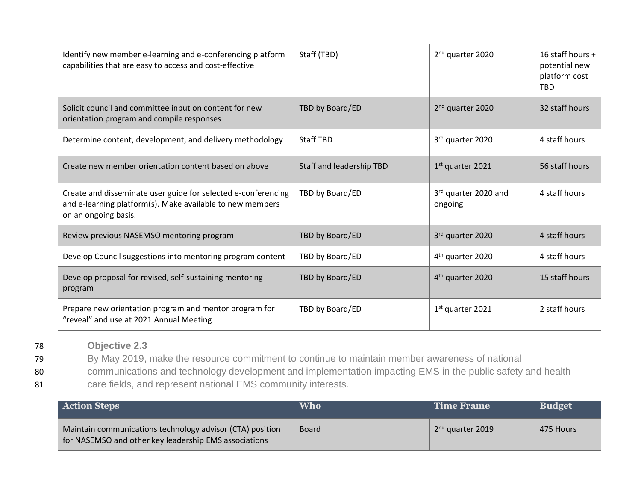| Identify new member e-learning and e-conferencing platform<br>capabilities that are easy to access and cost-effective                              | Staff (TBD)              | 2 <sup>nd</sup> quarter 2020    | 16 staff hours +<br>potential new<br>platform cost<br><b>TBD</b> |
|----------------------------------------------------------------------------------------------------------------------------------------------------|--------------------------|---------------------------------|------------------------------------------------------------------|
| Solicit council and committee input on content for new<br>orientation program and compile responses                                                | TBD by Board/ED          | 2 <sup>nd</sup> quarter 2020    | 32 staff hours                                                   |
| Determine content, development, and delivery methodology                                                                                           | <b>Staff TBD</b>         | 3rd quarter 2020                | 4 staff hours                                                    |
| Create new member orientation content based on above                                                                                               | Staff and leadership TBD | 1 <sup>st</sup> quarter 2021    | 56 staff hours                                                   |
| Create and disseminate user guide for selected e-conferencing<br>and e-learning platform(s). Make available to new members<br>on an ongoing basis. | TBD by Board/ED          | 3rd quarter 2020 and<br>ongoing | 4 staff hours                                                    |
| Review previous NASEMSO mentoring program                                                                                                          | TBD by Board/ED          | 3rd quarter 2020                | 4 staff hours                                                    |
| Develop Council suggestions into mentoring program content                                                                                         | TBD by Board/ED          | 4 <sup>th</sup> quarter 2020    | 4 staff hours                                                    |
| Develop proposal for revised, self-sustaining mentoring<br>program                                                                                 | TBD by Board/ED          | 4 <sup>th</sup> quarter 2020    | 15 staff hours                                                   |
| Prepare new orientation program and mentor program for<br>"reveal" and use at 2021 Annual Meeting                                                  | TBD by Board/ED          | 1 <sup>st</sup> quarter 2021    | 2 staff hours                                                    |

78 **Objective 2.3**

79 By May 2019, make the resource commitment to continue to maintain member awareness of national

80 communications and technology development and implementation impacting EMS in the public safety and health

81 care fields, and represent national EMS community interests.

| <b>Action Steps</b>                                                                                                | <b>Who</b>   | Time Frame         | <b>Budget</b> |
|--------------------------------------------------------------------------------------------------------------------|--------------|--------------------|---------------|
| Maintain communications technology advisor (CTA) position<br>for NASEMSO and other key leadership EMS associations | <b>Board</b> | $2nd$ quarter 2019 | 475 Hours     |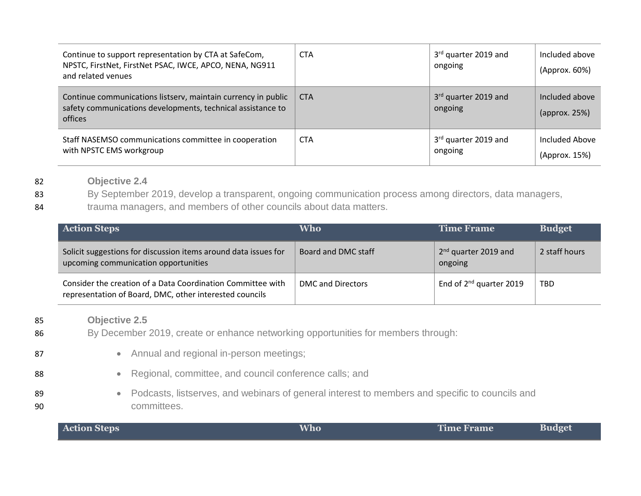| Continue to support representation by CTA at SafeCom,<br>NPSTC, FirstNet, FirstNet PSAC, IWCE, APCO, NENA, NG911<br>and related venues  | <b>CTA</b> | 3rd quarter 2019 and<br>ongoing | Included above<br>(Approx. 60%)                   |
|-----------------------------------------------------------------------------------------------------------------------------------------|------------|---------------------------------|---------------------------------------------------|
| Continue communications listsery, maintain currency in public<br>safety communications developments, technical assistance to<br>offices | <b>CTA</b> | 3rd quarter 2019 and<br>ongoing | Included above<br>$\langle$ approx. 25% $\rangle$ |
| Staff NASEMSO communications committee in cooperation<br>with NPSTC EMS workgroup                                                       | <b>CTA</b> | 3rd quarter 2019 and<br>ongoing | Included Above<br>(Approx. 15%)                   |

82 **Objective 2.4**

83 By September 2019, develop a transparent, ongoing communication process among directors, data managers,

84 trauma managers, and members of other councils about data matters.

| <b>Action Steps</b>                                                                                                    | Who                 | Time Frame                                  | <b>Budget</b> |
|------------------------------------------------------------------------------------------------------------------------|---------------------|---------------------------------------------|---------------|
| Solicit suggestions for discussion items around data issues for<br>upcoming communication opportunities                | Board and DMC staff | 2 <sup>nd</sup> quarter 2019 and<br>ongoing | 2 staff hours |
| Consider the creation of a Data Coordination Committee with<br>representation of Board, DMC, other interested councils | DMC and Directors   | End of $2^{nd}$ quarter 2019                | <b>TBD</b>    |

- 85 **Objective 2.5**
- 86 By December 2019, create or enhance networking opportunities for members through:
- 87  **Annual and regional in-person meetings;** 88 **• Regional, committee, and council conference calls; and** 89 • Podcasts, listserves, and webinars of general interest to members and specific to councils and 90 committees.

| <b>Action Steps</b> | Who | <b>Time Frame</b> | <b>Budget</b> |
|---------------------|-----|-------------------|---------------|
|---------------------|-----|-------------------|---------------|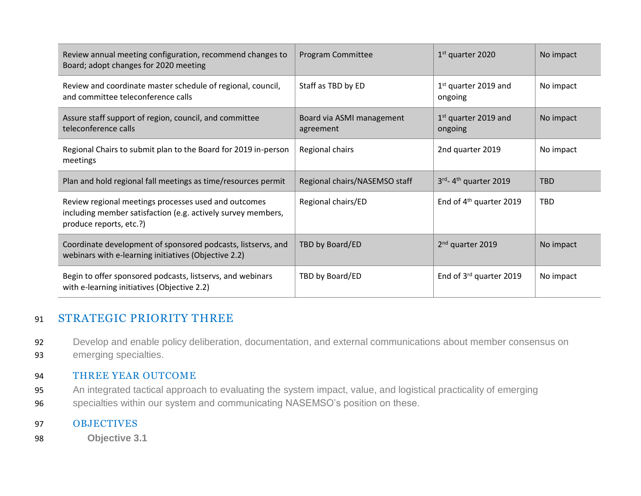| Review annual meeting configuration, recommend changes to<br>Board; adopt changes for 2020 meeting                                              | Program Committee                      | $1st$ quarter 2020                  | No impact  |
|-------------------------------------------------------------------------------------------------------------------------------------------------|----------------------------------------|-------------------------------------|------------|
| Review and coordinate master schedule of regional, council,<br>and committee teleconference calls                                               | Staff as TBD by ED                     | $1st$ quarter 2019 and<br>ongoing   | No impact  |
| Assure staff support of region, council, and committee<br>teleconference calls                                                                  | Board via ASMI management<br>agreement | $1st$ quarter 2019 and<br>ongoing   | No impact  |
| Regional Chairs to submit plan to the Board for 2019 in-person<br>meetings                                                                      | Regional chairs                        | 2nd quarter 2019                    | No impact  |
| Plan and hold regional fall meetings as time/resources permit                                                                                   |                                        |                                     |            |
|                                                                                                                                                 | Regional chairs/NASEMSO staff          | 3rd-4 <sup>th</sup> quarter 2019    | <b>TBD</b> |
| Review regional meetings processes used and outcomes<br>including member satisfaction (e.g. actively survey members,<br>produce reports, etc.?) | Regional chairs/ED                     | End of 4 <sup>th</sup> quarter 2019 | TBD        |
| Coordinate development of sponsored podcasts, listservs, and<br>webinars with e-learning initiatives (Objective 2.2)                            | TBD by Board/ED                        | 2 <sup>nd</sup> quarter 2019        | No impact  |

## 91 STRATEGIC PRIORITY THREE

92 Develop and enable policy deliberation, documentation, and external communications about member consensus on 93 emerging specialties.

#### 94 THREE YEAR OUTCOME

- 95 An integrated tactical approach to evaluating the system impact, value, and logistical practicality of emerging
- 96 specialties within our system and communicating NASEMSO's position on these.

#### 97 OBJECTIVES

98 **Objective 3.1**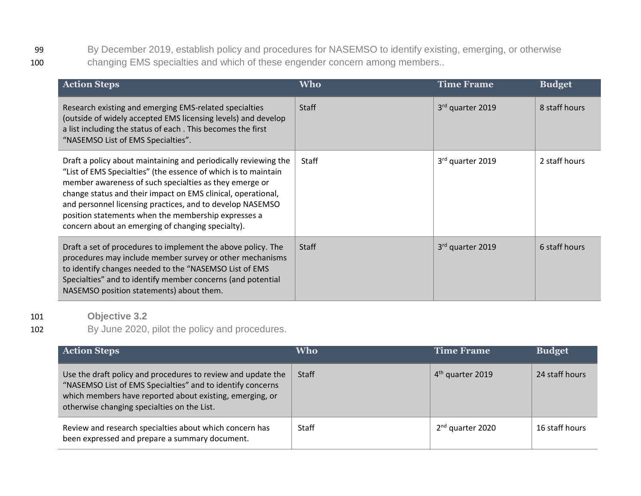99 By December 2019, establish policy and procedures for NASEMSO to identify existing, emerging, or otherwise 100 changing EMS specialties and which of these engender concern among members..

| <b>Action Steps</b>                                                                                                                                                                                                                                                                                                                                                                                                                  | <b>Who</b>   | <b>Time Frame</b> | <b>Budget</b> |
|--------------------------------------------------------------------------------------------------------------------------------------------------------------------------------------------------------------------------------------------------------------------------------------------------------------------------------------------------------------------------------------------------------------------------------------|--------------|-------------------|---------------|
| Research existing and emerging EMS-related specialties<br>(outside of widely accepted EMS licensing levels) and develop<br>a list including the status of each. This becomes the first<br>"NASEMSO List of EMS Specialties".                                                                                                                                                                                                         | <b>Staff</b> | 3rd quarter 2019  | 8 staff hours |
| Draft a policy about maintaining and periodically reviewing the<br>"List of EMS Specialties" (the essence of which is to maintain<br>member awareness of such specialties as they emerge or<br>change status and their impact on EMS clinical, operational,<br>and personnel licensing practices, and to develop NASEMSO<br>position statements when the membership expresses a<br>concern about an emerging of changing specialty). | Staff        | 3rd quarter 2019  | 2 staff hours |
| Draft a set of procedures to implement the above policy. The<br>procedures may include member survey or other mechanisms<br>to identify changes needed to the "NASEMSO List of EMS<br>Specialties" and to identify member concerns (and potential<br>NASEMSO position statements) about them.                                                                                                                                        | <b>Staff</b> | 3rd quarter 2019  | 6 staff hours |

#### 101 **Objective 3.2**

#### 102 By June 2020, pilot the policy and procedures.

| <b>Action Steps</b>                                                                                                                                                                                                                   | Who          | <b>Time Frame</b>            | <b>Budget</b>  |
|---------------------------------------------------------------------------------------------------------------------------------------------------------------------------------------------------------------------------------------|--------------|------------------------------|----------------|
| Use the draft policy and procedures to review and update the<br>"NASEMSO List of EMS Specialties" and to identify concerns<br>which members have reported about existing, emerging, or<br>otherwise changing specialties on the List. | <b>Staff</b> | 4 <sup>th</sup> quarter 2019 | 24 staff hours |
| Review and research specialties about which concern has<br>been expressed and prepare a summary document.                                                                                                                             | <b>Staff</b> | 2 <sup>nd</sup> quarter 2020 | 16 staff hours |